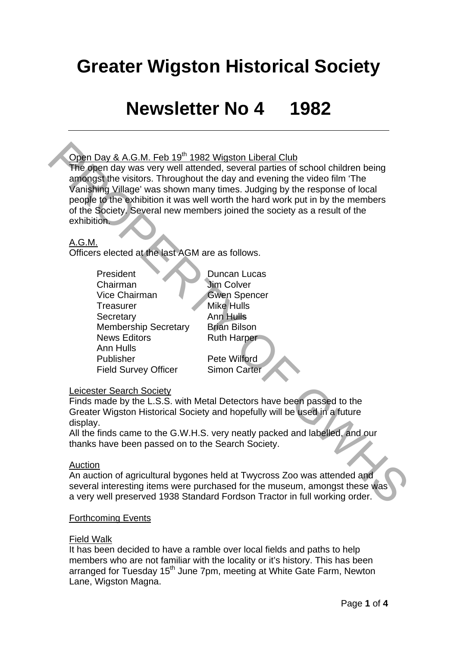# **Greater Wigston Historical Society**

# **Newsletter No 4 1982**

# Open Day & A.G.M. Feb 19<sup>th</sup> 1982 Wigston Liberal Club

The open day was very well attended, several parties of school children being amongst the visitors. Throughout the day and evening the video film 'The Vanishing Village' was shown many times. Judging by the response of local people to the exhibition it was well worth the hard work put in by the members of the Society. Several new members joined the society as a result of the exhibition. **ODen Day & A.G.M. Feb 19" 1982 Widston Liberal Club**<br> **The open day was very well attended, several parties of school children being**<br>
any day was very well attended, several parties of school children being<br>
vanishing Vi

## A.G.M.

Officers elected at the last AGM are as follows.

President Duncan Lucas Chairman Jim Colver Vice Chairman Gwen Spencer Treasurer Mike Hulls Secretary **Ann Hulls** Membership Secretary Brian Bilson News Editors **Ruth Harper** Ann Hulls Publisher Pete Wilford Field Survey Officer Simon Carter

Leicester Search Society

Finds made by the L.S.S. with Metal Detectors have been passed to the Greater Wigston Historical Society and hopefully will be used in a future display.

All the finds came to the G.W.H.S. very neatly packed and labelled, and our thanks have been passed on to the Search Society.

### Auction

An auction of agricultural bygones held at Twycross Zoo was attended and several interesting items were purchased for the museum, amongst these was a very well preserved 1938 Standard Fordson Tractor in full working order.

### Forthcoming Events

### Field Walk

It has been decided to have a ramble over local fields and paths to help members who are not familiar with the locality or it's history. This has been arranged for Tuesday 15<sup>th</sup> June 7pm, meeting at White Gate Farm, Newton Lane, Wigston Magna.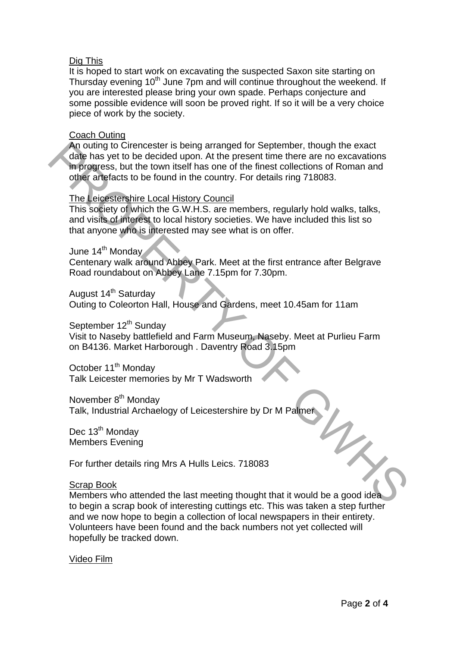### Dig This

It is hoped to start work on excavating the suspected Saxon site starting on Thursday evening 10<sup>th</sup> June 7pm and will continue throughout the weekend. If you are interested please bring your own spade. Perhaps conjecture and some possible evidence will soon be proved right. If so it will be a very choice piece of work by the society.

### Coach Outing

An outing to Cirencester is being arranged for September, though the exact date has yet to be decided upon. At the present time there are no excavations in progress, but the town itself has one of the finest collections of Roman and other artefacts to be found in the country. For details ring 718083. An outling to Ciencester is being arranged for September, though the exact<br>date has yet to be decided upon. At the present time there are no excavations<br>in progress, but the town itself has one of the finest collections o

### The Leicestershire Local History Council

This society of which the G.W.H.S. are members, regularly hold walks, talks, and visits of interest to local history societies. We have included this list so that anyone who is interested may see what is on offer.

#### June 14<sup>th</sup> Monday

Centenary walk around Abbey Park. Meet at the first entrance after Belgrave Road roundabout on Abbey Lane 7.15pm for 7.30pm.

August 14<sup>th</sup> Saturday Outing to Coleorton Hall, House and Gardens, meet 10.45am for 11am

September 12<sup>th</sup> Sunday

Visit to Naseby battlefield and Farm Museum, Naseby. Meet at Purlieu Farm on B4136. Market Harborough . Daventry Road 3.15pm

October 11<sup>th</sup> Monday Talk Leicester memories by Mr T Wadsworth

November 8<sup>th</sup> Monday

Talk, Industrial Archaelogy of Leicestershire by Dr M Palmer

Dec 13<sup>th</sup> Monday Members Evening

For further details ring Mrs A Hulls Leics. 718083

#### Scrap Book

Members who attended the last meeting thought that it would be a good idea to begin a scrap book of interesting cuttings etc. This was taken a step further and we now hope to begin a collection of local newspapers in their entirety. Volunteers have been found and the back numbers not yet collected will hopefully be tracked down.

Video Film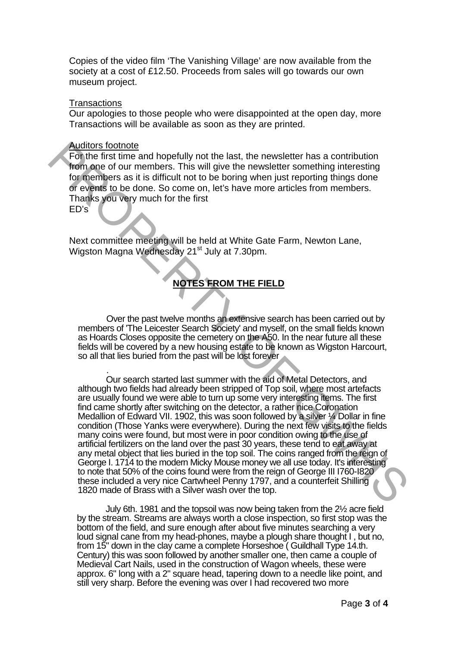Copies of the video film 'The Vanishing Village' are now available from the society at a cost of £12.50. Proceeds from sales will go towards our own museum project.

#### **Transactions**

Our apologies to those people who were disappointed at the open day, more Transactions will be available as soon as they are printed.

#### Auditors footnote

For the first time and hopefully not the last, the newsletter has a contribution from one of our members. This will give the newsletter something interesting for members as it is difficult not to be boring when just reporting things done or events to be done. So come on, let's have more articles from members. Thanks you very much for the first

ED's

Next committee meeting will be held at White Gate Farm, Newton Lane, Wigston Magna Wednesday 21<sup>st</sup> July at 7.30pm.

### **NOTES FROM THE FIELD**

Over the past twelve months an extensive search has been carried out by members of 'The Leicester Search Society' and myself, on the small fields known as Hoards Closes opposite the cemetery on the A50. In the near future all these fields will be covered by a new housing estate to be known as Wigston Harcourt, so all that lies buried from the past will be lost forever

. Our search started last summer with the aid of Metal Detectors, and although two fields had already been stripped of Top soil, where most artefacts are usually found we were able to turn up some very interesting items. The first find came shortly after switching on the detector, a rather nice Coronation Medallion of Edward VII. 1902, this was soon followed by a silver 1/4 Dollar in fine condition (Those Yanks were everywhere). During the next few visits to the fields many coins were found, but most were in poor condition owing to the use of artificial fertilizers on the land over the past 30 years, these tend to eat away at any metal object that lies buried in the top soil. The coins ranged from the reign of George I. 1714 to the modern Micky Mouse money we all use today. It's interesting to note that 50% of the coins found were from the reign of George III I760-I820 these included a very nice Cartwheel Penny 1797, and a counterfeit Shilling 1820 made of Brass with a Silver wash over the top. **Audions footoner**<br> **Audions footoner meand hopefully not the last, the newsletter has a contribution<br>
from one of our members. This will give the newsletter something interesting<br>
for neembers as it is difficult not to be** 

July 6th. 1981 and the topsoil was now being taken from the 2½ acre field by the stream. Streams are always worth a close inspection, so first stop was the bottom of the field, and sure enough after about five minutes searching a very loud signal cane from my head-phones, maybe a plough share thought I , but no, from 15" down in the clay came a complete Horseshoe ( Guildhall Type 14.th. Century) this was soon followed by another smaller one, then came a couple of Medieval Cart Nails, used in the construction of Wagon wheels, these were approx. 6" long with a 2" square head, tapering down to a needle like point, and still very sharp. Before the evening was over I had recovered two more